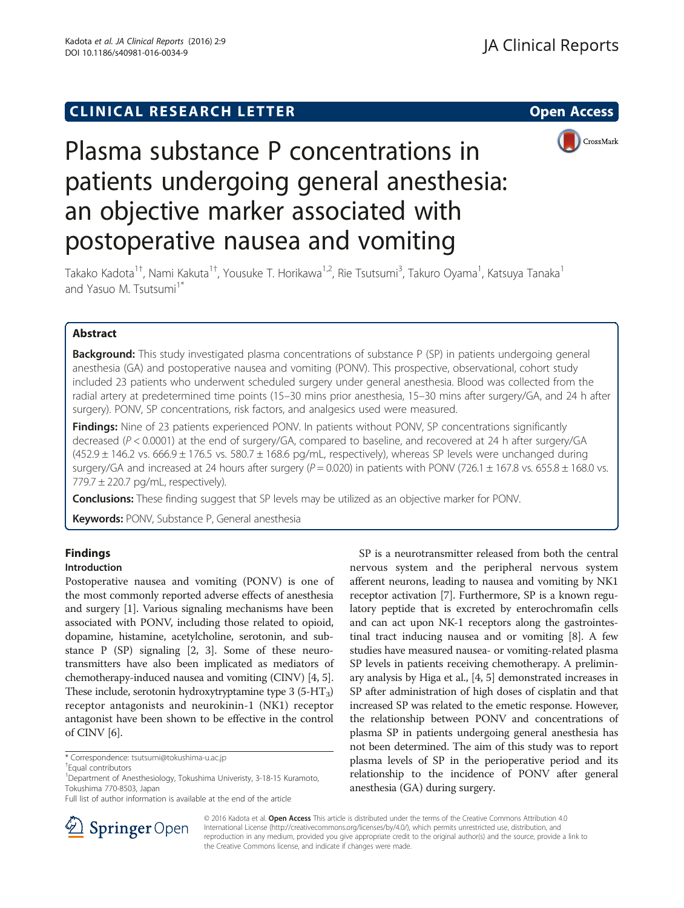# **CLINICAL RESEARCH LETTER CLINICAL RESEARCH LETTER Open Access**



# Plasma substance P concentrations in patients undergoing general anesthesia: an objective marker associated with postoperative nausea and vomiting

Takako Kadota<sup>1†</sup>, Nami Kakuta<sup>1†</sup>, Yousuke T. Horikawa<sup>1,2</sup>, Rie Tsutsumi<sup>3</sup>, Takuro Oyama<sup>1</sup>, Katsuya Tanaka<sup>1</sup> and Yasuo M. Tsutsumi<sup>1\*</sup>

# Abstract

**Background:** This study investigated plasma concentrations of substance P (SP) in patients undergoing general anesthesia (GA) and postoperative nausea and vomiting (PONV). This prospective, observational, cohort study included 23 patients who underwent scheduled surgery under general anesthesia. Blood was collected from the radial artery at predetermined time points (15–30 mins prior anesthesia, 15–30 mins after surgery/GA, and 24 h after surgery). PONV, SP concentrations, risk factors, and analgesics used were measured.

**Findings:** Nine of 23 patients experienced PONV. In patients without PONV, SP concentrations significantly decreased (P < 0.0001) at the end of surgery/GA, compared to baseline, and recovered at 24 h after surgery/GA  $(452.9 \pm 146.2 \text{ vs. } 666.9 \pm 176.5 \text{ vs. } 580.7 \pm 168.6 \text{ pg/mL}$ , respectively), whereas SP levels were unchanged during surgery/GA and increased at 24 hours after surgery ( $P = 0.020$ ) in patients with PONV (726.1  $\pm$  167.8 vs. 655.8  $\pm$  168.0 vs.  $779.7 \pm 220.7$  pg/mL, respectively).

**Conclusions:** These finding suggest that SP levels may be utilized as an objective marker for PONV.

Keywords: PONV, Substance P, General anesthesia

# Findings

# Introduction

Postoperative nausea and vomiting (PONV) is one of the most commonly reported adverse effects of anesthesia and surgery [[1\]](#page-3-0). Various signaling mechanisms have been associated with PONV, including those related to opioid, dopamine, histamine, acetylcholine, serotonin, and substance P (SP) signaling [\[2, 3\]](#page-3-0). Some of these neurotransmitters have also been implicated as mediators of chemotherapy-induced nausea and vomiting (CINV) [\[4, 5](#page-3-0)]. These include, serotonin hydroxytryptamine type  $3$  (5-HT<sub>3</sub>) receptor antagonists and neurokinin-1 (NK1) receptor antagonist have been shown to be effective in the control of CINV [[6\]](#page-3-0).

SP is a neurotransmitter released from both the central nervous system and the peripheral nervous system afferent neurons, leading to nausea and vomiting by NK1 receptor activation [[7](#page-3-0)]. Furthermore, SP is a known regulatory peptide that is excreted by enterochromafin cells and can act upon NK-1 receptors along the gastrointestinal tract inducing nausea and or vomiting [\[8](#page-3-0)]. A few studies have measured nausea- or vomiting-related plasma SP levels in patients receiving chemotherapy. A preliminary analysis by Higa et al., [[4, 5](#page-3-0)] demonstrated increases in SP after administration of high doses of cisplatin and that increased SP was related to the emetic response. However, the relationship between PONV and concentrations of plasma SP in patients undergoing general anesthesia has not been determined. The aim of this study was to report plasma levels of SP in the perioperative period and its relationship to the incidence of PONV after general anesthesia (GA) during surgery.



© 2016 Kadota et al. Open Access This article is distributed under the terms of the Creative Commons Attribution 4.0 International License ([http://creativecommons.org/licenses/by/4.0/\)](http://creativecommons.org/licenses/by/4.0/), which permits unrestricted use, distribution, and reproduction in any medium, provided you give appropriate credit to the original author(s) and the source, provide a link to the Creative Commons license, and indicate if changes were made.

<sup>\*</sup> Correspondence: [tsutsumi@tokushima-u.ac.jp](mailto:tsutsumi@tokushima-u.ac.jp) †

<sup>&</sup>lt;sup>+</sup>Equal contributors

<sup>&</sup>lt;sup>1</sup>Department of Anesthesiology, Tokushima Univeristy, 3-18-15 Kuramoto, Tokushima 770-8503, Japan

Full list of author information is available at the end of the article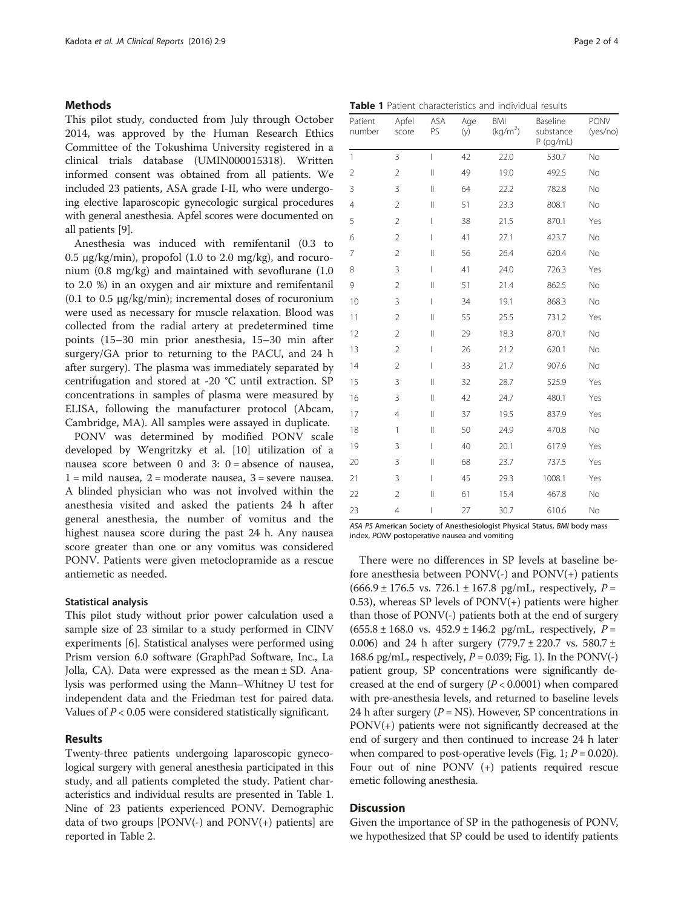#### Methods

This pilot study, conducted from July through October 2014, was approved by the Human Research Ethics Committee of the Tokushima University registered in a clinical trials database (UMIN000015318). Written informed consent was obtained from all patients. We included 23 patients, ASA grade I-II, who were undergoing elective laparoscopic gynecologic surgical procedures with general anesthesia. Apfel scores were documented on all patients [[9\]](#page-3-0).

Anesthesia was induced with remifentanil (0.3 to  $0.5 \mu$ g/kg/min), propofol (1.0 to 2.0 mg/kg), and rocuronium (0.8 mg/kg) and maintained with sevoflurane (1.0 to 2.0 %) in an oxygen and air mixture and remifentanil (0.1 to 0.5 μg/kg/min); incremental doses of rocuronium were used as necessary for muscle relaxation. Blood was collected from the radial artery at predetermined time points (15–30 min prior anesthesia, 15–30 min after surgery/GA prior to returning to the PACU, and 24 h after surgery). The plasma was immediately separated by centrifugation and stored at -20 °C until extraction. SP concentrations in samples of plasma were measured by ELISA, following the manufacturer protocol (Abcam, Cambridge, MA). All samples were assayed in duplicate.

PONV was determined by modified PONV scale developed by Wengritzky et al. [\[10](#page-3-0)] utilization of a nausea score between 0 and 3: 0 = absence of nausea,  $1 =$  mild nausea,  $2 =$  moderate nausea,  $3 =$  severe nausea. A blinded physician who was not involved within the anesthesia visited and asked the patients 24 h after general anesthesia, the number of vomitus and the highest nausea score during the past 24 h. Any nausea score greater than one or any vomitus was considered PONV. Patients were given metoclopramide as a rescue antiemetic as needed.

#### Statistical analysis

This pilot study without prior power calculation used a sample size of 23 similar to a study performed in CINV experiments [\[6\]](#page-3-0). Statistical analyses were performed using Prism version 6.0 software (GraphPad Software, Inc., La Jolla, CA). Data were expressed as the mean ± SD. Analysis was performed using the Mann–Whitney U test for independent data and the Friedman test for paired data. Values of  $P < 0.05$  were considered statistically significant.

## Results

Twenty-three patients undergoing laparoscopic gynecological surgery with general anesthesia participated in this study, and all patients completed the study. Patient characteristics and individual results are presented in Table 1. Nine of 23 patients experienced PONV. Demographic data of two groups  $[PONV(-)]$  and  $PONV(+)]$  patients are reported in Table [2](#page-2-0).

Table 1 Patient characteristics and individual results

| Patient<br>number | Apfel<br>score | ASA<br>PS       | Age<br>(y) | BMI<br>(kg/m <sup>2</sup> ) | Baseline<br>substance<br>$P$ (pg/mL) | PONV<br>(yes/no) |
|-------------------|----------------|-----------------|------------|-----------------------------|--------------------------------------|------------------|
| $\mathbf{1}$      | 3              | $\overline{1}$  | 42         | 22.0                        | 530.7                                | No               |
| $\overline{2}$    | $\overline{2}$ | $\lvert \rvert$ | 49         | 19.0                        | 492.5                                | No               |
| 3                 | 3              | $\mathsf{II}$   | 64         | 22.2                        | 782.8                                | No               |
| $\overline{4}$    | $\overline{2}$ | $\mathsf{II}$   | 51         | 23.3                        | 808.1                                | No               |
| 5                 | $\overline{2}$ | L               | 38         | 21.5                        | 870.1                                | Yes              |
| 6                 | $\overline{2}$ | I               | 41         | 27.1                        | 423.7                                | No               |
| 7                 | $\overline{2}$ | $\mathsf{II}$   | 56         | 26.4                        | 620.4                                | No               |
| 8                 | 3              | $\overline{1}$  | 41         | 24.0                        | 726.3                                | Yes              |
| 9                 | $\overline{2}$ | $\mathsf{II}$   | 51         | 21.4                        | 862.5                                | No               |
| 10                | 3              | L               | 34         | 19.1                        | 868.3                                | No               |
| 11                | $\overline{2}$ | $\mathsf{II}$   | 55         | 25.5                        | 731.2                                | Yes              |
| 12                | $\overline{2}$ | $\mathsf{II}$   | 29         | 18.3                        | 870.1                                | No               |
| 13                | $\overline{2}$ | L               | 26         | 21.2                        | 620.1                                | No               |
| 14                | $\overline{2}$ | L               | 33         | 21.7                        | 907.6                                | No               |
| 15                | 3              | $\mathsf{II}$   | 32         | 28.7                        | 525.9                                | Yes              |
| 16                | 3              | $\mathsf{II}$   | 42         | 24.7                        | 480.1                                | Yes              |
| 17                | $\overline{4}$ | $\mathsf{II}$   | 37         | 19.5                        | 837.9                                | Yes              |
| 18                | 1              | $\mathsf{II}$   | 50         | 24.9                        | 470.8                                | No               |
| 19                | 3              | L               | 40         | 20.1                        | 617.9                                | Yes              |
| 20                | 3              | $\mathsf{II}$   | 68         | 23.7                        | 737.5                                | Yes              |
| 21                | 3              | $\overline{1}$  | 45         | 29.3                        | 1008.1                               | Yes              |
| 22                | $\overline{2}$ | $\mathsf{II}$   | 61         | 15.4                        | 467.8                                | No               |
| 23                | 4              | I               | 27         | 30.7                        | 610.6                                | No               |

ASA PS American Society of Anesthesiologist Physical Status, BMI body mass index, PONV postoperative nausea and vomiting

There were no differences in SP levels at baseline before anesthesia between PONV(-) and PONV(+) patients  $(666.9 \pm 176.5 \text{ vs. } 726.1 \pm 167.8 \text{ pg/mL}, \text{ respectively, } P =$ 0.53), whereas SP levels of  $PONV(+)$  patients were higher than those of PONV(-) patients both at the end of surgery  $(655.8 \pm 168.0 \text{ vs. } 452.9 \pm 146.2 \text{ pg/mL}, \text{ respectively, } P =$ 0.006) and 24 h after surgery  $(779.7 \pm 220.7 \text{ vs. } 580.7 \pm 120.7 \text{ vs. } 220.7 \pm 120.7 \text{ vs. } 220.7 \pm 120.7 \text{ vs. } 220.7 \pm 120.7 \text{ vs. } 220.7 \pm 120.7 \text{ vs. } 220.7 \pm 120.7 \text{ vs. } 220.7 \pm 120.7 \text{ vs. } 220.7 \pm 120.7 \text{ vs. } 220.7 \pm 1$ 168.6 pg/mL, respectively,  $P = 0.039$ ; Fig. [1](#page-2-0)). In the PONV(-) patient group, SP concentrations were significantly decreased at the end of surgery  $(P < 0.0001)$  when compared with pre-anesthesia levels, and returned to baseline levels 24 h after surgery  $(P = NS)$ . However, SP concentrations in PONV(+) patients were not significantly decreased at the end of surgery and then continued to increase 24 h later when compared to post-operative levels (Fig. [1](#page-2-0);  $P = 0.020$ ). Four out of nine PONV (+) patients required rescue emetic following anesthesia.

### **Discussion**

Given the importance of SP in the pathogenesis of PONV, we hypothesized that SP could be used to identify patients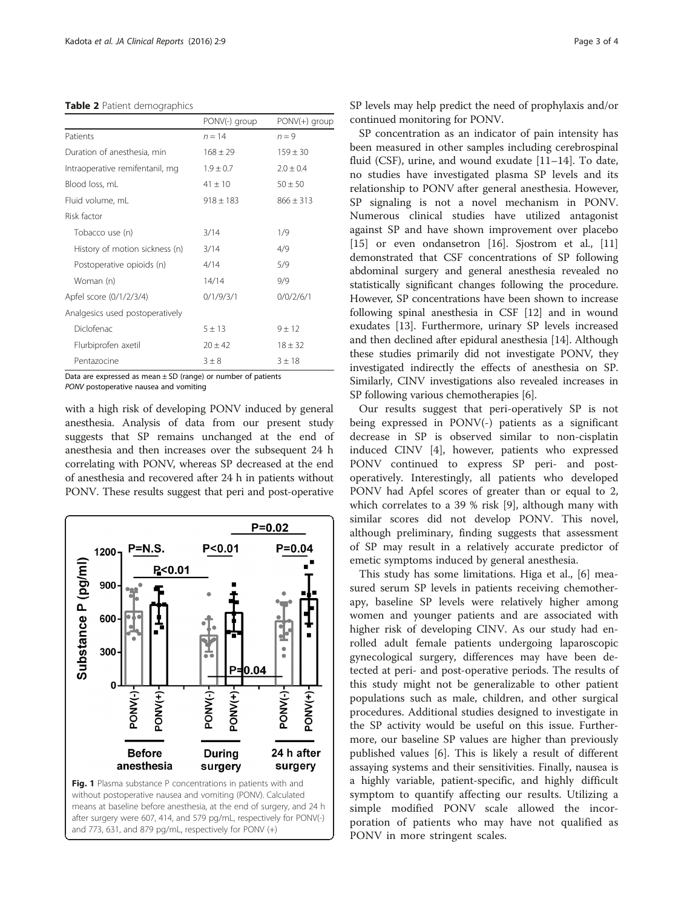#### <span id="page-2-0"></span>Table 2 Patient demographics

|                                 | PONV(-) group | $PONV(+)$ group |
|---------------------------------|---------------|-----------------|
| Patients                        | $n = 14$      | $n = 9$         |
| Duration of anesthesia, min     | $168 \pm 29$  | $159 \pm 30$    |
| Intraoperative remifentanil, mg | $1.9 \pm 0.7$ | $2.0 + 0.4$     |
| Blood loss, mL                  | $41 \pm 10$   | $50 \pm 50$     |
| Fluid volume, mL                | $918 \pm 183$ | $866 \pm 313$   |
| Risk factor                     |               |                 |
| Tobacco use (n)                 | 3/14          | 1/9             |
| History of motion sickness (n)  | 3/14          | 4/9             |
| Postoperative opioids (n)       | 4/14          | 5/9             |
| Woman (n)                       | 14/14         | 9/9             |
| Apfel score (0/1/2/3/4)         | 0/1/9/3/1     | 0/0/2/6/1       |
| Analgesics used postoperatively |               |                 |
| Diclofenac                      | $5 + 13$      | $9 + 12$        |
| Flurbiprofen axetil             | $20 + 42$     | $18 \pm 32$     |
| Pentazocine                     | $3 \pm 8$     | 3 ± 18          |

Data are expressed as mean  $\pm$  SD (range) or number of patients PONV postoperative nausea and vomiting

with a high risk of developing PONV induced by general anesthesia. Analysis of data from our present study suggests that SP remains unchanged at the end of anesthesia and then increases over the subsequent 24 h correlating with PONV, whereas SP decreased at the end of anesthesia and recovered after 24 h in patients without PONV. These results suggest that peri and post-operative



SP levels may help predict the need of prophylaxis and/or continued monitoring for PONV.

SP concentration as an indicator of pain intensity has been measured in other samples including cerebrospinal fluid (CSF), urine, and wound exudate [\[11](#page-3-0)–[14\]](#page-3-0). To date, no studies have investigated plasma SP levels and its relationship to PONV after general anesthesia. However, SP signaling is not a novel mechanism in PONV. Numerous clinical studies have utilized antagonist against SP and have shown improvement over placebo [[15\]](#page-3-0) or even ondansetron [[16\]](#page-3-0). Sjostrom et al., [[11](#page-3-0)] demonstrated that CSF concentrations of SP following abdominal surgery and general anesthesia revealed no statistically significant changes following the procedure. However, SP concentrations have been shown to increase following spinal anesthesia in CSF [[12](#page-3-0)] and in wound exudates [\[13](#page-3-0)]. Furthermore, urinary SP levels increased and then declined after epidural anesthesia [\[14\]](#page-3-0). Although these studies primarily did not investigate PONV, they investigated indirectly the effects of anesthesia on SP. Similarly, CINV investigations also revealed increases in SP following various chemotherapies [[6](#page-3-0)].

Our results suggest that peri-operatively SP is not being expressed in PONV(-) patients as a significant decrease in SP is observed similar to non-cisplatin induced CINV [[4\]](#page-3-0), however, patients who expressed PONV continued to express SP peri- and postoperatively. Interestingly, all patients who developed PONV had Apfel scores of greater than or equal to 2, which correlates to a 39 % risk [\[9](#page-3-0)], although many with similar scores did not develop PONV. This novel, although preliminary, finding suggests that assessment of SP may result in a relatively accurate predictor of emetic symptoms induced by general anesthesia.

This study has some limitations. Higa et al., [\[6\]](#page-3-0) measured serum SP levels in patients receiving chemotherapy, baseline SP levels were relatively higher among women and younger patients and are associated with higher risk of developing CINV. As our study had enrolled adult female patients undergoing laparoscopic gynecological surgery, differences may have been detected at peri- and post-operative periods. The results of this study might not be generalizable to other patient populations such as male, children, and other surgical procedures. Additional studies designed to investigate in the SP activity would be useful on this issue. Furthermore, our baseline SP values are higher than previously published values [\[6](#page-3-0)]. This is likely a result of different assaying systems and their sensitivities. Finally, nausea is a highly variable, patient-specific, and highly difficult symptom to quantify affecting our results. Utilizing a simple modified PONV scale allowed the incorporation of patients who may have not qualified as PONV in more stringent scales.